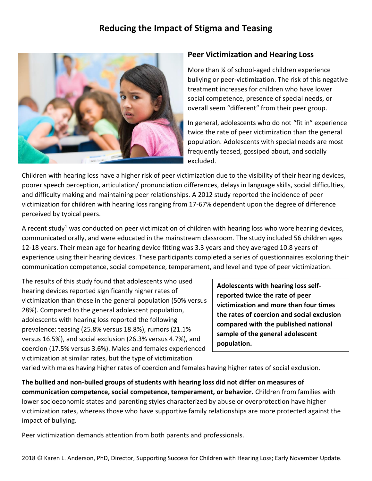# **Reducing the Impact of Stigma and Teasing**



## **Peer Victimization and Hearing Loss**

More than ¼ of school-aged children experience bullying or peer-victimization. The risk of this negative treatment increases for children who have lower social competence, presence of special needs, or overall seem "different" from their peer group.

In general, adolescents who do not "fit in" experience twice the rate of peer victimization than the general population. Adolescents with special needs are most frequently teased, gossiped about, and socially excluded.

Children with hearing loss have a higher risk of peer victimization due to the visibility of their hearing devices, poorer speech perception, articulation/ pronunciation differences, delays in language skills, social difficulties, and difficulty making and maintaining peer relationships. A 2012 study reported the incidence of peer victimization for children with hearing loss ranging from 17-67% dependent upon the degree of difference perceived by typical peers.

A recent study<sup>1</sup> was conducted on peer victimization of children with hearing loss who wore hearing devices, communicated orally, and were educated in the mainstream classroom. The study included 56 children ages 12-18 years. Their mean age for hearing device fitting was 3.3 years and they averaged 10.8 years of experience using their hearing devices. These participants completed a series of questionnaires exploring their communication competence, social competence, temperament, and level and type of peer victimization.

The results of this study found that adolescents who used hearing devices reported significantly higher rates of victimization than those in the general population (50% versus 28%). Compared to the general adolescent population, adolescents with hearing loss reported the following prevalence: teasing (25.8% versus 18.8%), rumors (21.1% versus 16.5%), and social exclusion (26.3% versus 4.7%), and coercion (17.5% versus 3.6%). Males and females experienced victimization at similar rates, but the type of victimization

**Adolescents with hearing loss selfreported twice the rate of peer victimization and more than four times the rates of coercion and social exclusion compared with the published national sample of the general adolescent population.**

varied with males having higher rates of coercion and females having higher rates of social exclusion.

**The bullied and non-bulled groups of students with hearing loss did not differ on measures of communication competence, social competence, temperament, or behavior.** Children from families with lower socioeconomic states and parenting styles characterized by abuse or overprotection have higher victimization rates, whereas those who have supportive family relationships are more protected against the impact of bullying.

Peer victimization demands attention from both parents and professionals.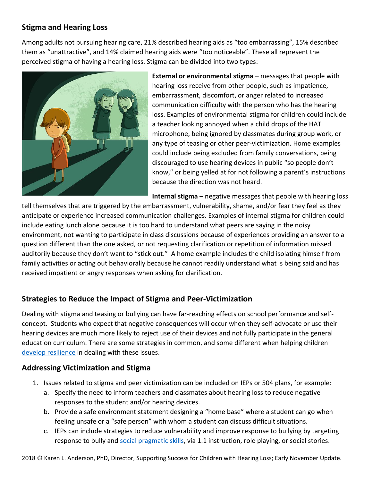## **Stigma and Hearing Loss**

Among adults not pursuing hearing care, 21% described hearing aids as "too embarrassing", 15% described them as "unattractive", and 14% claimed hearing aids were "too noticeable". These all represent the perceived stigma of having a hearing loss. Stigma can be divided into two types:



**External or environmental stigma** – messages that people with hearing loss receive from other people, such as impatience, embarrassment, discomfort, or anger related to increased communication difficulty with the person who has the hearing loss. Examples of environmental stigma for children could include a teacher looking annoyed when a child drops of the HAT microphone, being ignored by classmates during group work, or any type of teasing or other peer-victimization. Home examples could include being excluded from family conversations, being discouraged to use hearing devices in public "so people don't know," or being yelled at for not following a parent's instructions because the direction was not heard.

**Internal stigma** – negative messages that people with hearing loss

tell themselves that are triggered by the embarrassment, vulnerability, shame, and/or fear they feel as they anticipate or experience increased communication challenges. Examples of internal stigma for children could include eating lunch alone because it is too hard to understand what peers are saying in the noisy environment, not wanting to participate in class discussions because of experiences providing an answer to a question different than the one asked, or not requesting clarification or repetition of information missed auditorily because they don't want to "stick out." A home example includes the child isolating himself from family activities or acting out behaviorally because he cannot readily understand what is being said and has received impatient or angry responses when asking for clarification.

## **Strategies to Reduce the Impact of Stigma and Peer-Victimization**

Dealing with stigma and teasing or bullying can have far-reaching effects on school performance and selfconcept. Students who expect that negative consequences will occur when they self-advocate or use their hearing devices are much more likely to reject use of their devices and not fully participate in the general education curriculum. There are some strategies in common, and some different when helping children [develop resilience](https://successforkidswithhearingloss.com/product/building-self-confidence-resilience-to-maximize-acceptance-of-hearing-devices/) in dealing with these issues.

#### **Addressing Victimization and Stigma**

- 1. Issues related to stigma and peer victimization can be included on IEPs or 504 plans, for example:
	- a. Specify the need to inform teachers and classmates about hearing loss to reduce negative responses to the student and/or hearing devices.
	- b. Provide a safe environment statement designing a "home base" where a student can go when feeling unsafe or a "safe person" with whom a student can discuss difficult situations.
	- c. IEPs can include strategies to reduce vulnerability and improve response to bullying by targeting response to bully and [social pragmatic skills,](https://successforkidswithhearingloss.com/for-professionals/social-communication-pragmatics/) via 1:1 instruction, role playing, or social stories.

2018 © Karen L. Anderson, PhD, Director, Supporting Success for Children with Hearing Loss; Early November Update.